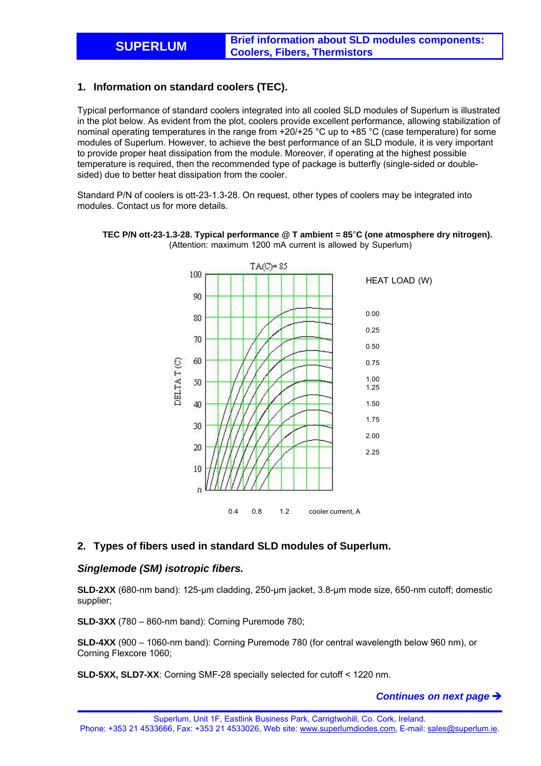# **1. Information on standard coolers (TEC).**

Typical performance of standard coolers integrated into all cooled SLD modules of Superlum is illustrated in the plot below. As evident from the plot, coolers provide excellent performance, allowing stabilization of nominal operating temperatures in the range from +20/+25 °C up to +85 °C (case temperature) for some modules of Superlum. However, to achieve the best performance of an SLD module, it is very important to provide proper heat dissipation from the module. Moreover, if operating at the highest possible temperature is required, then the recommended type of package is butterfly (single-sided or doublesided) due to better heat dissipation from the cooler.

Standard P/N of coolers is ott-23-1.3-28. On request, other types of coolers may be integrated into modules. Contact us for more details.



**TEC P/N ott-23-1.3-28. Typical performance @ T ambient = 85**°**C (one atmosphere dry nitrogen).** (Attention: maximum 1200 mA current is allowed by Superlum)

# **2. Types of fibers used in standard SLD modules of Superlum.**

# *Singlemode (SM) isotropic fibers.*

**SLD-2XX** (680-nm band): 125-µm cladding, 250-µm jacket, 3.8-µm mode size, 650-nm cutoff; domestic supplier;

**SLD-3XX** (780 – 860-nm band): Corning Puremode 780;

**SLD-4XX** (900 – 1060-nm band): Corning Puremode 780 (for central wavelength below 960 nm), or Corning Flexcore 1060;

**SLD-5XX, SLD7-XX**: Corning SMF-28 specially selected for cutoff < 1220 nm.

#### *Continues on next page*